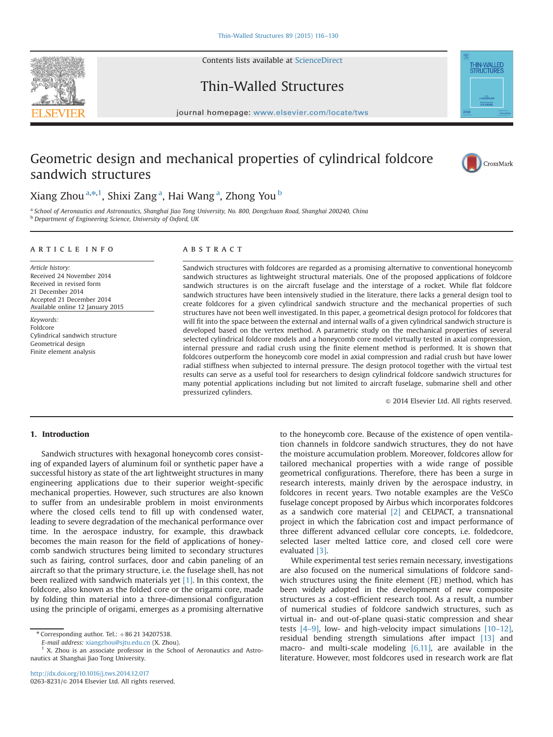Contents lists available at [ScienceDirect](www.sciencedirect.com/science/journal/02638231)





## Thin-Walled Structures

 $j$  is a series. We also we also we also we also we also we also we also we also we also we also we also we also we also we also we also we also we also we also we also we also we also we also we also we also we also we a

# Geometric design and mechanical properties of cylindrical foldcore sandwich structures



### Xiang Zhou $^{\mathrm{a},\ast,\mathrm{1}},$  Shixi Zang $^{\mathrm{a}},$  Hai Wang $^{\mathrm{a}},$  Zhong You $^{\mathrm{b}}$

a School of Aeronautics and Astronautics, Shanghai Jiao Tong University, No. 800, Dongchuan Road, Shanghai 200240, China b Department of Engineering Science, University of Oxford, UK

#### ARTICLE INFO

Article history: Received 24 November 2014 Received in revised form 21 December 2014 Accepted 21 December 2014 Available online 12 January 2015

Keywords: Foldcore Cylindrical sandwich structure Geometrical design Finite element analysis

#### **ARSTRACT**

Sandwich structures with foldcores are regarded as a promising alternative to conventional honeycomb sandwich structures as lightweight structural materials. One of the proposed applications of foldcore sandwich structures is on the aircraft fuselage and the interstage of a rocket. While flat foldcore sandwich structures have been intensively studied in the literature, there lacks a general design tool to create foldcores for a given cylindrical sandwich structure and the mechanical properties of such structures have not been well investigated. In this paper, a geometrical design protocol for foldcores that will fit into the space between the external and internal walls of a given cylindrical sandwich structure is developed based on the vertex method. A parametric study on the mechanical properties of several selected cylindrical foldcore models and a honeycomb core model virtually tested in axial compression, internal pressure and radial crush using the finite element method is performed. It is shown that foldcores outperform the honeycomb core model in axial compression and radial crush but have lower radial stiffness when subjected to internal pressure. The design protocol together with the virtual test results can serve as a useful tool for researchers to design cylindrical foldcore sandwich structures for many potential applications including but not limited to aircraft fuselage, submarine shell and other pressurized cylinders.

 $\odot$  2014 Elsevier Ltd. All rights reserved.

#### 1. Introduction

Sandwich structures with hexagonal honeycomb cores consisting of expanded layers of aluminum foil or synthetic paper have a successful history as state of the art lightweight structures in many engineering applications due to their superior weight-specific mechanical properties. However, such structures are also known to suffer from an undesirable problem in moist environments where the closed cells tend to fill up with condensed water, leading to severe degradation of the mechanical performance over time. In the aerospace industry, for example, this drawback becomes the main reason for the field of applications of honeycomb sandwich structures being limited to secondary structures such as fairing, control surfaces, door and cabin paneling of an aircraft so that the primary structure, i.e. the fuselage shell, has not been realized with sandwich materials yet [1]. In this context, the foldcore, also known as the folded core or the origami core, made by folding thin material into a three-dimensional configuration using the principle of origami, emerges as a promising alternative

E-mail address: [xiangzhou@sjtu.edu.cn](mailto:xiangzhou@sjtu.edu.cn) (X. Zhou).

to the honeycomb core. Because of the existence of open ventilation channels in foldcore sandwich structures, they do not have the moisture accumulation problem. Moreover, foldcores allow for tailored mechanical properties with a wide range of possible geometrical configurations. Therefore, there has been a surge in research interests, mainly driven by the aerospace industry, in foldcores in recent years. Two notable examples are the VeSCo fuselage concept proposed by Airbus which incorporates foldcores as a sandwich core material  $[2]$  and CELPACT, a transnational project in which the fabrication cost and impact performance of three different advanced cellular core concepts, i.e. foldedcore, selected laser melted lattice core, and closed cell core were evaluated [3].

While experimental test series remain necessary, investigations are also focused on the numerical simulations of foldcore sandwich structures using the finite element (FE) method, which has been widely adopted in the development of new composite structures as a cost-efficient research tool. As a result, a number of numerical studies of foldcore sandwich structures, such as virtual in- and out-of-plane quasi-static compression and shear tests [4–9], low- and high-velocity impact simulations [10–12], residual bending strength simulations after impact [13] and macro- and multi-scale modeling [6,11], are available in the literature. However, most foldcores used in research work are flat

 $*$  Corresponding author. Tel.:  $+86$  21 34207538.

 $1$  X. Zhou is an associate professor in the School of Aeronautics and Astronautics at Shanghai Jiao Tong University.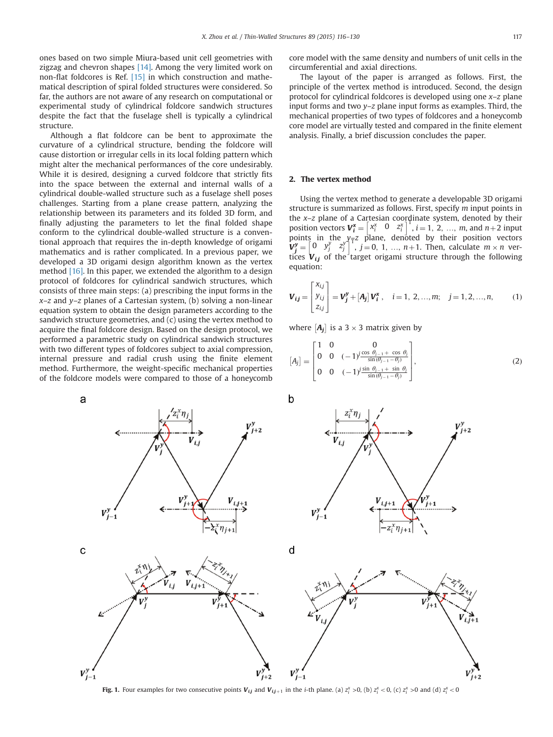ones based on two simple Miura-based unit cell geometries with zigzag and chevron shapes [14]. Among the very limited work on non-flat foldcores is Ref. [15] in which construction and mathematical description of spiral folded structures were considered. So far, the authors are not aware of any research on computational or experimental study of cylindrical foldcore sandwich structures despite the fact that the fuselage shell is typically a cylindrical structure.

Although a flat foldcore can be bent to approximate the curvature of a cylindrical structure, bending the foldcore will cause distortion or irregular cells in its local folding pattern which might alter the mechanical performances of the core undesirably. While it is desired, designing a curved foldcore that strictly fits into the space between the external and internal walls of a cylindrical double-walled structure such as a fuselage shell poses challenges. Starting from a plane crease pattern, analyzing the relationship between its parameters and its folded 3D form, and finally adjusting the parameters to let the final folded shape conform to the cylindrical double-walled structure is a conventional approach that requires the in-depth knowledge of origami mathematics and is rather complicated. In a previous paper, we developed a 3D origami design algorithm known as the vertex method [16]. In this paper, we extended the algorithm to a design protocol of foldcores for cylindrical sandwich structures, which consists of three main steps: (a) prescribing the input forms in the  $x-z$  and  $y-z$  planes of a Cartesian system, (b) solving a non-linear equation system to obtain the design parameters according to the sandwich structure geometries, and (c) using the vertex method to acquire the final foldcore design. Based on the design protocol, we performed a parametric study on cylindrical sandwich structures with two different types of foldcores subject to axial compression, internal pressure and radial crush using the finite element method. Furthermore, the weight-specific mechanical properties of the foldcore models were compared to those of a honeycomb

core model with the same density and numbers of unit cells in the circumferential and axial directions.

The layout of the paper is arranged as follows. First, the principle of the vertex method is introduced. Second, the design protocol for cylindrical foldcores is developed using one  $x-z$  plane input forms and two  $y-z$  plane input forms as examples. Third, the mechanical properties of two types of foldcores and a honeycomb core model are virtually tested and compared in the finite element analysis. Finally, a brief discussion concludes the paper.

#### 2. The vertex method

Using the vertex method to generate a developable 3D origami structure is summarized as follows. First, specify m input points in the  $x-z$  plane of a Cartesian coordinate system, denoted by their position vectors  $V_i^* = \begin{bmatrix} x_i^* & 0 & z_i^* \end{bmatrix}^T$ ,  $i = 1, 2, ..., m$ , and  $n+2$  input points in the  $y_{\overline{\tau}}z$  plane, denoted by their position vectors  $V_j^y = \begin{bmatrix} 0 & y_j^y & z_j^y \end{bmatrix}^T$ , j = 0, 1, ..., n+1. Then, calculate  $m \times n$  vertices  $V_{ij}$  of the target origami structure through the following equation:

$$
\boldsymbol{V}_{i,j} = \begin{bmatrix} x_{i,j} \\ y_{i,j} \\ z_{i,j} \end{bmatrix} = \boldsymbol{V}_{j}^{y} + [\boldsymbol{A}_{j}] \boldsymbol{V}_{i}^{x}, \quad i = 1, 2, ..., m; \quad j = 1, 2, ..., n,
$$
 (1)

where  $[A_j]$  is a 3  $\times$  3 matrix given by

$$
[A_j] = \begin{bmatrix} 1 & 0 & 0 \\ 0 & 0 & (-1)^j \frac{\cos \theta_{j-1} + \cos \theta_j}{\sin(\theta_{j-1} - \theta_j)} \\ 0 & 0 & (-1)^j \frac{\sin \theta_{j-1} + \sin \theta_j}{\sin(\theta_{j-1} - \theta_j)} \end{bmatrix},
$$
(2)